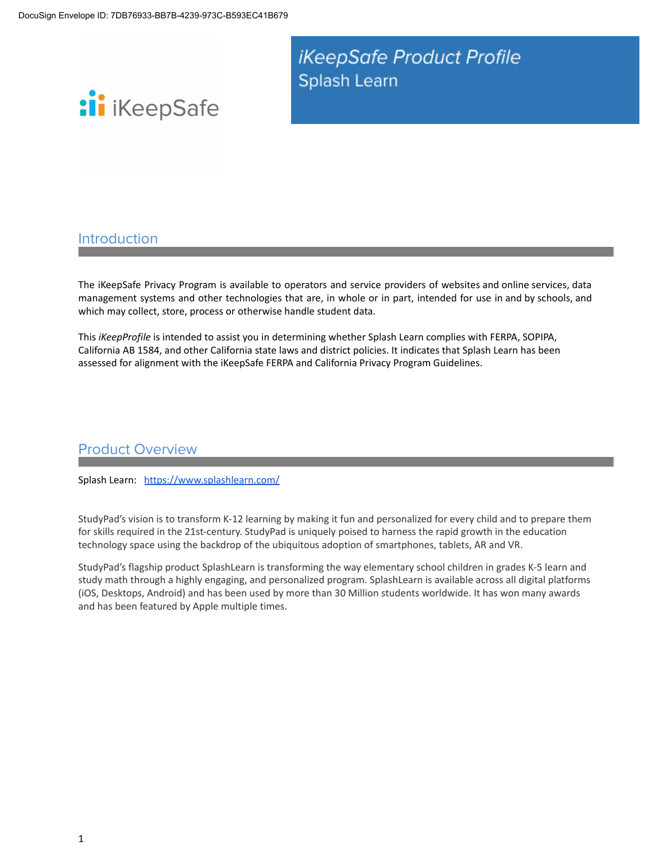iKeepSafe Product Profile Splash Learn



### Introduction

The iKeepSafe Privacy Program is available to operators and service providers of websites and online services, data management systems and other technologies that are, in whole or in part, intended for use in and by schools, and which may collect, store, process or otherwise handle student data.

This *iKeepProfile* is intended to assist you in determining whether Splash Learn complies with FERPA, SOPIPA, California AB 1584, and other California state laws and district policies. It indicates that Splash Learn has been assessed for alignment with the iKeepSafe FERPA and California Privacy Program Guidelines.

### Product Overview

Splash Learn: <https://www.splashlearn.com/>

StudyPad's vision is to transform K-12 learning by making it fun and personalized for every child and to prepare them for skills required in the 21st-century. StudyPad is uniquely poised to harness the rapid growth in the education technology space using the backdrop of the ubiquitous adoption of smartphones, tablets, AR and VR.

StudyPad's flagship product SplashLearn is transforming the way elementary school children in grades K-5 learn and study math through a highly engaging, and personalized program. SplashLearn is available across all digital platforms (iOS, Desktops, Android) and has been used by more than 30 Million students worldwide. It has won many awards and has been featured by Apple multiple times.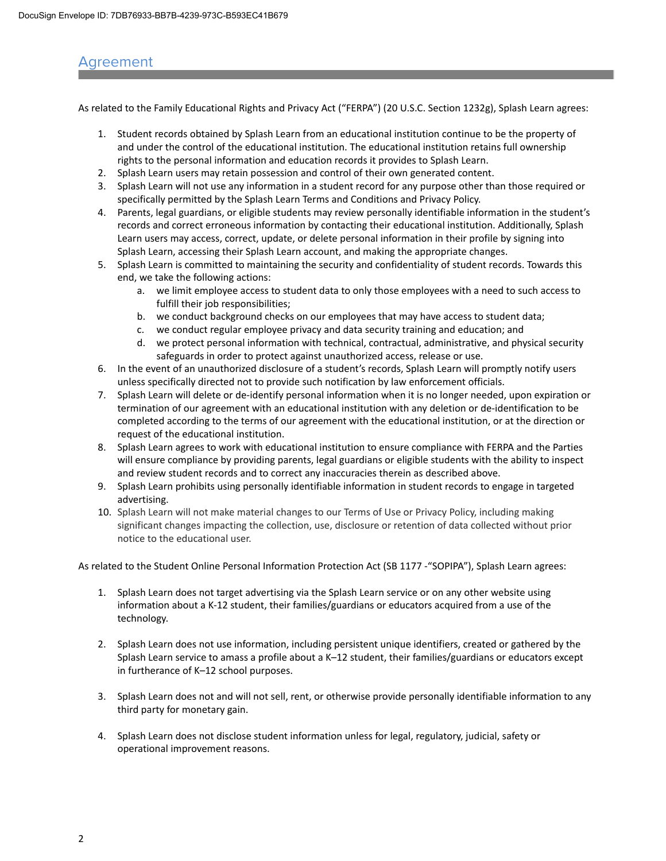### Agreement

As related to the Family Educational Rights and Privacy Act ("FERPA") (20 U.S.C. Section 1232g), Splash Learn agrees:

- 1. Student records obtained by Splash Learn from an educational institution continue to be the property of and under the control of the educational institution. The educational institution retains full ownership rights to the personal information and education records it provides to Splash Learn.
- 2. Splash Learn users may retain possession and control of their own generated content.
- 3. Splash Learn will not use any information in a student record for any purpose other than those required or specifically permitted by the Splash Learn Terms and Conditions and Privacy Policy.
- 4. Parents, legal guardians, or eligible students may review personally identifiable information in the student's records and correct erroneous information by contacting their educational institution. Additionally, Splash Learn users may access, correct, update, or delete personal information in their profile by signing into Splash Learn, accessing their Splash Learn account, and making the appropriate changes.
- 5. Splash Learn is committed to maintaining the security and confidentiality of student records. Towards this end, we take the following actions:
	- a. we limit employee access to student data to only those employees with a need to such access to fulfill their job responsibilities;
	- b. we conduct background checks on our employees that may have access to student data;
	- c. we conduct regular employee privacy and data security training and education; and
	- d. we protect personal information with technical, contractual, administrative, and physical security safeguards in order to protect against unauthorized access, release or use.
- 6. In the event of an unauthorized disclosure of a student's records, Splash Learn will promptly notify users unless specifically directed not to provide such notification by law enforcement officials.
- 7. Splash Learn will delete or de-identify personal information when it is no longer needed, upon expiration or termination of our agreement with an educational institution with any deletion or de-identification to be completed according to the terms of our agreement with the educational institution, or at the direction or request of the educational institution.
- 8. Splash Learn agrees to work with educational institution to ensure compliance with FERPA and the Parties will ensure compliance by providing parents, legal guardians or eligible students with the ability to inspect and review student records and to correct any inaccuracies therein as described above.
- 9. Splash Learn prohibits using personally identifiable information in student records to engage in targeted advertising.
- 10. Splash Learn will not make material changes to our Terms of Use or Privacy Policy, including making significant changes impacting the collection, use, disclosure or retention of data collected without prior notice to the educational user.

As related to the Student Online Personal Information Protection Act (SB 1177 -"SOPIPA"), Splash Learn agrees:

- 1. Splash Learn does not target advertising via the Splash Learn service or on any other website using information about a K-12 student, their families/guardians or educators acquired from a use of the technology.
- 2. Splash Learn does not use information, including persistent unique identifiers, created or gathered by the Splash Learn service to amass a profile about a K–12 student, their families/guardians or educators except in furtherance of K–12 school purposes.
- 3. Splash Learn does not and will not sell, rent, or otherwise provide personally identifiable information to any third party for monetary gain.
- 4. Splash Learn does not disclose student information unless for legal, regulatory, judicial, safety or operational improvement reasons.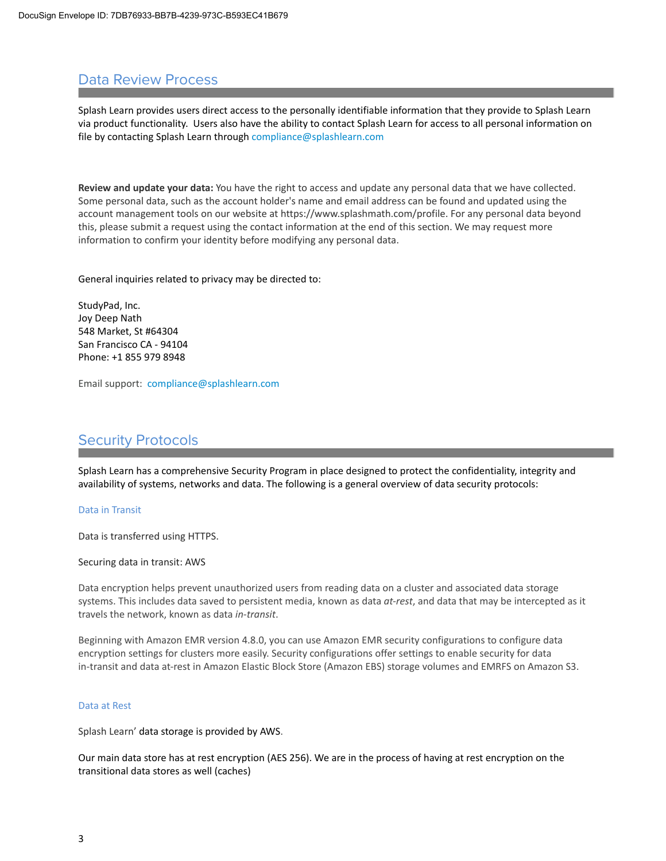# Data Review Process

Splash Learn provides users direct access to the personally identifiable information that they provide to Splash Learn via product functionality. Users also have the ability to contact Splash Learn for access to all personal information on file by contacting Splash Learn through compliance@splashlearn.com

**Review and update your data:** You have the right to access and update any personal data that we have collected. Some personal data, such as the account holder's name and email address can be found and updated using the account management tools on our website at https://www.splashmath.com/profile. For any personal data beyond this, please submit a request using the contact information at the end of this section. We may request more information to confirm your identity before modifying any personal data.

General inquiries related to privacy may be directed to:

StudyPad, Inc. Joy Deep Nath 548 Market, St #64304 San Francisco CA - 94104 Phone: +1 855 979 8948

Email support: compliance@splashlearn.com

# Security Protocols

Splash Learn has a comprehensive Security Program in place designed to protect the confidentiality, integrity and availability of systems, networks and data. The following is a general overview of data security protocols:

### Data in Transit

Data is transferred using HTTPS.

Securing data in transit: AWS

Data encryption helps prevent unauthorized users from reading data on a cluster and associated data storage systems. This includes data saved to persistent media, known as data *at-rest*, and data that may be intercepted as it travels the network, known as data *in-transit*.

Beginning with Amazon EMR version 4.8.0, you can use Amazon EMR security configurations to configure data encryption settings for clusters more easily. Security configurations offer settings to enable security for data in-transit and data at-rest in Amazon Elastic Block Store (Amazon EBS) storage volumes and EMRFS on Amazon S3.

#### Data at Rest

Splash Learn' data storage is provided by AWS.

Our main data store has at rest encryption (AES 256). We are in the process of having at rest encryption on the transitional data stores as well (caches)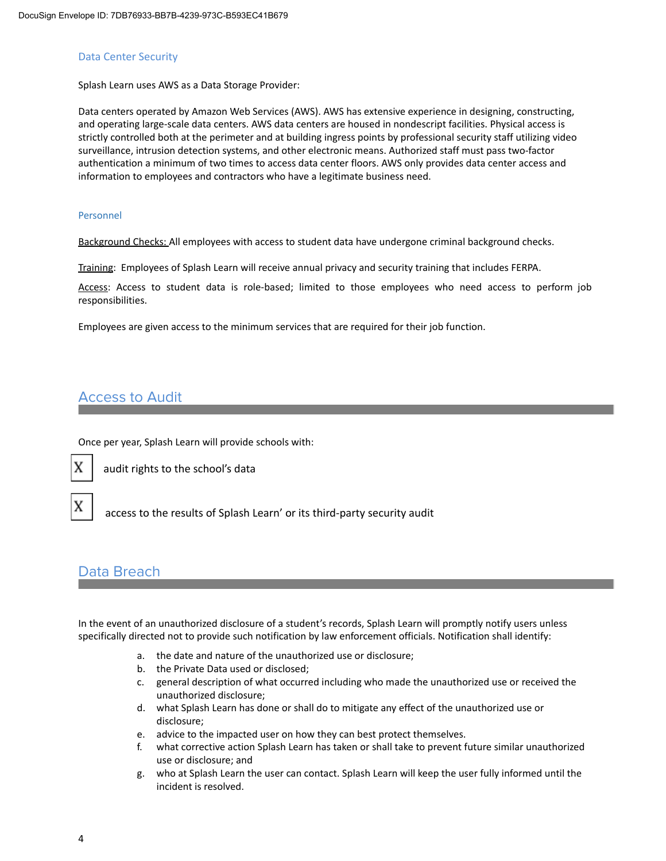#### Data Center Security

Splash Learn uses AWS as a Data Storage Provider:

Data centers operated by Amazon Web Services (AWS). AWS has extensive experience in designing, constructing, and operating large-scale data centers. AWS data centers are housed in nondescript facilities. Physical access is strictly controlled both at the perimeter and at building ingress points by professional security staff utilizing video surveillance, intrusion detection systems, and other electronic means. Authorized staff must pass two-factor authentication a minimum of two times to access data center floors. AWS only provides data center access and information to employees and contractors who have a legitimate business need.

#### Personnel

Background Checks: All employees with access to student data have undergone criminal background checks.

Training: Employees of Splash Learn will receive annual privacy and security training that includes FERPA.

Access: Access to student data is role-based; limited to those employees who need access to perform job responsibilities.

Employees are given access to the minimum services that are required for their job function.

## Access to Audit

Once per year, Splash Learn will provide schools with:



audit rights to the school's data

 $\mathbf{X}$  access to the results of Splash Learn' or its third-party security audit

### Data Breach

In the event of an unauthorized disclosure of a student's records, Splash Learn will promptly notify users unless specifically directed not to provide such notification by law enforcement officials. Notification shall identify:

- a. the date and nature of the unauthorized use or disclosure;
- b. the Private Data used or disclosed;
- c. general description of what occurred including who made the unauthorized use or received the unauthorized disclosure;
- d. what Splash Learn has done or shall do to mitigate any effect of the unauthorized use or disclosure;
- e. advice to the impacted user on how they can best protect themselves.
- f. what corrective action Splash Learn has taken or shall take to prevent future similar unauthorized use or disclosure; and
- g. who at Splash Learn the user can contact. Splash Learn will keep the user fully informed until the incident is resolved.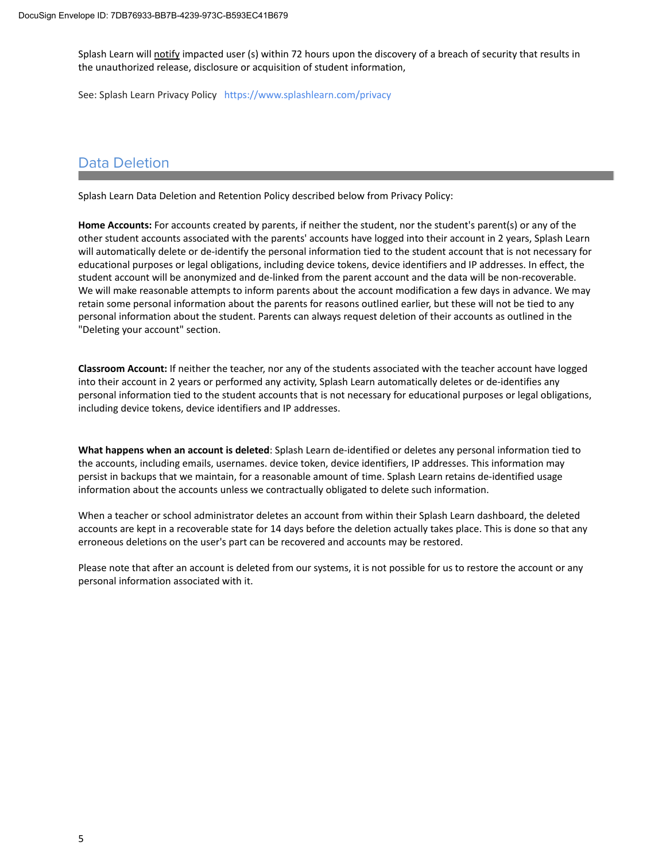Splash Learn will notify impacted user (s) within 72 hours upon the discovery of a breach of security that results in the unauthorized release, disclosure or acquisition of student information,

See: Splash Learn Privacy Policy https://www.splashlearn.com/privacy

## Data Deletion

Splash Learn Data Deletion and Retention Policy described below from Privacy Policy:

**Home Accounts:** For accounts created by parents, if neither the student, nor the student's parent(s) or any of the other student accounts associated with the parents' accounts have logged into their account in 2 years, Splash Learn will automatically delete or de-identify the personal information tied to the student account that is not necessary for educational purposes or legal obligations, including device tokens, device identifiers and IP addresses. In effect, the student account will be anonymized and de-linked from the parent account and the data will be non-recoverable. We will make reasonable attempts to inform parents about the account modification a few days in advance. We may retain some personal information about the parents for reasons outlined earlier, but these will not be tied to any personal information about the student. Parents can always request deletion of their accounts as outlined in the "Deleting your account" section.

**Classroom Account:** If neither the teacher, nor any of the students associated with the teacher account have logged into their account in 2 years or performed any activity, Splash Learn automatically deletes or de-identifies any personal information tied to the student accounts that is not necessary for educational purposes or legal obligations, including device tokens, device identifiers and IP addresses.

**What happens when an account is deleted**: Splash Learn de-identified or deletes any personal information tied to the accounts, including emails, usernames. device token, device identifiers, IP addresses. This information may persist in backups that we maintain, for a reasonable amount of time. Splash Learn retains de-identified usage information about the accounts unless we contractually obligated to delete such information.

When a teacher or school administrator deletes an account from within their Splash Learn dashboard, the deleted accounts are kept in a recoverable state for 14 days before the deletion actually takes place. This is done so that any erroneous deletions on the user's part can be recovered and accounts may be restored.

Please note that after an account is deleted from our systems, it is not possible for us to restore the account or any personal information associated with it.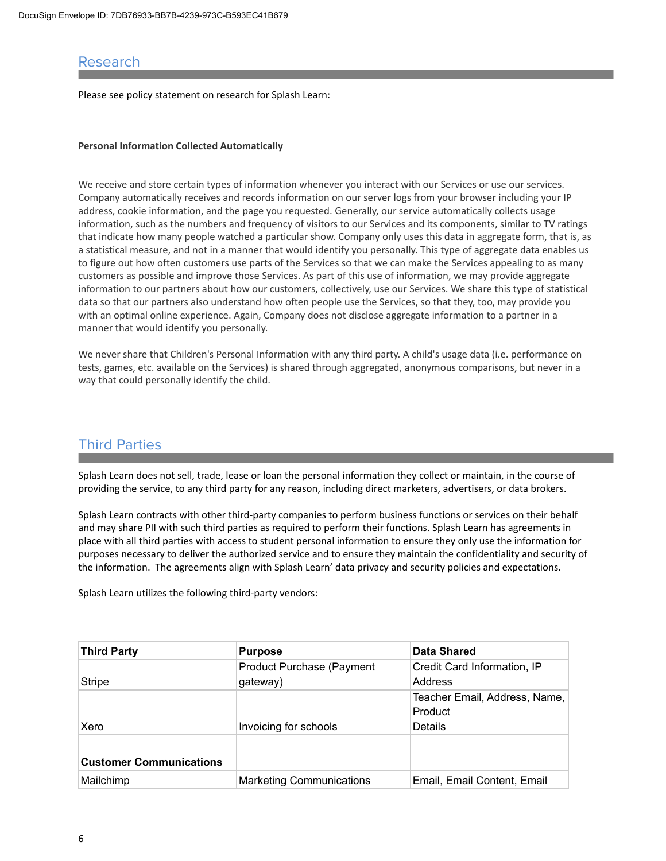### Research

Please see policy statement on research for Splash Learn:

#### **Personal Information Collected Automatically**

We receive and store certain types of information whenever you interact with our Services or use our services. Company automatically receives and records information on our server logs from your browser including your IP address, cookie information, and the page you requested. Generally, our service automatically collects usage information, such as the numbers and frequency of visitors to our Services and its components, similar to TV ratings that indicate how many people watched a particular show. Company only uses this data in aggregate form, that is, as a statistical measure, and not in a manner that would identify you personally. This type of aggregate data enables us to figure out how often customers use parts of the Services so that we can make the Services appealing to as many customers as possible and improve those Services. As part of this use of information, we may provide aggregate information to our partners about how our customers, collectively, use our Services. We share this type of statistical data so that our partners also understand how often people use the Services, so that they, too, may provide you with an optimal online experience. Again, Company does not disclose aggregate information to a partner in a manner that would identify you personally.

We never share that Children's Personal Information with any third party. A child's usage data (i.e. performance on tests, games, etc. available on the Services) is shared through aggregated, anonymous comparisons, but never in a way that could personally identify the child.

## Third Parties

Splash Learn does not sell, trade, lease or loan the personal information they collect or maintain, in the course of providing the service, to any third party for any reason, including direct marketers, advertisers, or data brokers.

Splash Learn contracts with other third-party companies to perform business functions or services on their behalf and may share PII with such third parties as required to perform their functions. Splash Learn has agreements in place with all third parties with access to student personal information to ensure they only use the information for purposes necessary to deliver the authorized service and to ensure they maintain the confidentiality and security of the information. The agreements align with Splash Learn' data privacy and security policies and expectations.

Splash Learn utilizes the following third-party vendors:

| Third Party                    | <b>Purpose</b>                   | <b>Data Shared</b>            |
|--------------------------------|----------------------------------|-------------------------------|
|                                | <b>Product Purchase (Payment</b> | Credit Card Information, IP   |
| Stripe                         | gateway)                         | Address                       |
|                                |                                  | Teacher Email, Address, Name, |
|                                |                                  | Product                       |
| Xero                           | Invoicing for schools            | Details                       |
|                                |                                  |                               |
| <b>Customer Communications</b> |                                  |                               |
| Mailchimp                      | <b>Marketing Communications</b>  | Email, Email Content, Email   |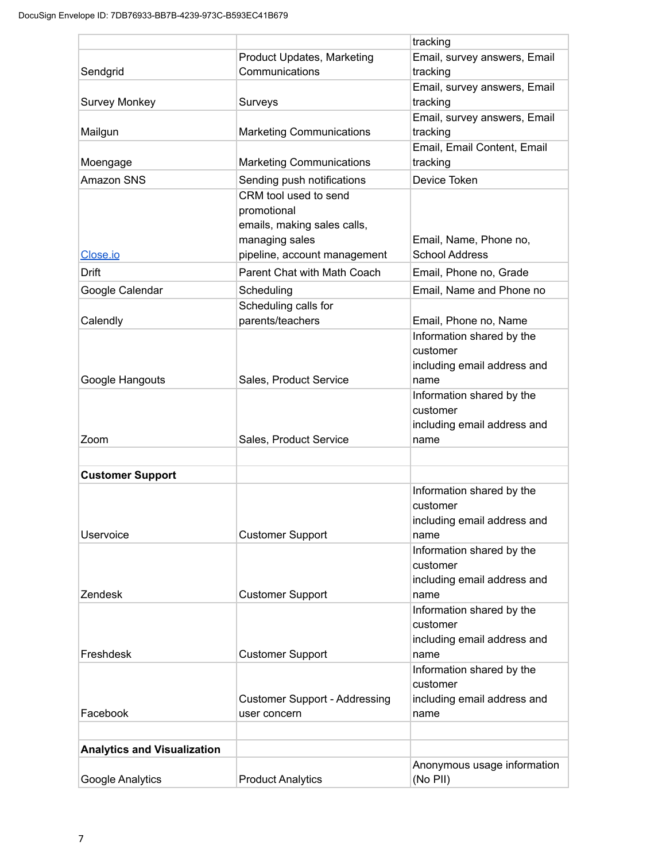|                                    |                                                                     | tracking                                                                     |
|------------------------------------|---------------------------------------------------------------------|------------------------------------------------------------------------------|
|                                    | <b>Product Updates, Marketing</b>                                   | Email, survey answers, Email                                                 |
| Sendgrid                           | Communications                                                      | tracking                                                                     |
|                                    |                                                                     | Email, survey answers, Email                                                 |
| <b>Survey Monkey</b>               | Surveys                                                             | tracking                                                                     |
| Mailgun                            | <b>Marketing Communications</b>                                     | Email, survey answers, Email<br>tracking                                     |
|                                    |                                                                     | Email, Email Content, Email                                                  |
| Moengage                           | <b>Marketing Communications</b>                                     | tracking                                                                     |
| Amazon SNS                         | Sending push notifications                                          | Device Token                                                                 |
|                                    | CRM tool used to send<br>promotional<br>emails, making sales calls, |                                                                              |
|                                    | managing sales                                                      | Email, Name, Phone no,                                                       |
| Close.io                           | pipeline, account management                                        | <b>School Address</b>                                                        |
| <b>Drift</b>                       | Parent Chat with Math Coach                                         | Email, Phone no, Grade                                                       |
| Google Calendar                    | Scheduling                                                          | Email, Name and Phone no                                                     |
|                                    | Scheduling calls for                                                |                                                                              |
| Calendly                           | parents/teachers                                                    | Email, Phone no, Name                                                        |
| Google Hangouts                    | Sales, Product Service                                              | Information shared by the<br>customer<br>including email address and<br>name |
|                                    |                                                                     | Information shared by the                                                    |
|                                    |                                                                     | customer                                                                     |
|                                    |                                                                     | including email address and                                                  |
| Zoom                               | Sales, Product Service                                              | name                                                                         |
|                                    |                                                                     |                                                                              |
| <b>Customer Support</b>            |                                                                     |                                                                              |
| Uservoice                          | <b>Customer Support</b>                                             | Information shared by the<br>customer<br>including email address and<br>name |
|                                    |                                                                     | Information shared by the                                                    |
|                                    |                                                                     | customer<br>including email address and                                      |
| Zendesk                            | <b>Customer Support</b>                                             | name                                                                         |
|                                    |                                                                     | Information shared by the<br>customer<br>including email address and         |
| Freshdesk                          | <b>Customer Support</b>                                             | name                                                                         |
|                                    | <b>Customer Support - Addressing</b>                                | Information shared by the<br>customer<br>including email address and         |
| Facebook                           | user concern                                                        | name                                                                         |
|                                    |                                                                     |                                                                              |
| <b>Analytics and Visualization</b> |                                                                     |                                                                              |
| Google Analytics                   | <b>Product Analytics</b>                                            | Anonymous usage information<br>(No PII)                                      |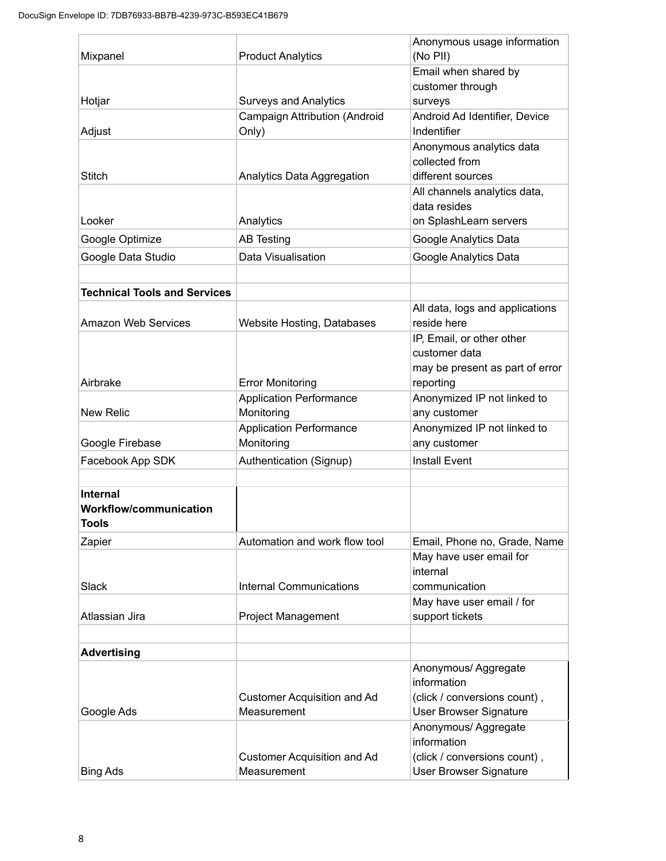|                                     |                                              | Anonymous usage information                 |
|-------------------------------------|----------------------------------------------|---------------------------------------------|
| Mixpanel                            | <b>Product Analytics</b>                     | (No PII)                                    |
|                                     |                                              | Email when shared by                        |
|                                     |                                              | customer through                            |
| Hotjar                              | <b>Surveys and Analytics</b>                 | surveys                                     |
|                                     | <b>Campaign Attribution (Android</b>         | Android Ad Identifier, Device               |
| Adjust                              | Only)                                        | Indentifier                                 |
|                                     |                                              | Anonymous analytics data<br>collected from  |
| <b>Stitch</b>                       | Analytics Data Aggregation                   | different sources                           |
|                                     |                                              | All channels analytics data,                |
|                                     |                                              | data resides                                |
| Looker                              | Analytics                                    | on SplashLearn servers                      |
| Google Optimize                     | <b>AB Testing</b>                            | Google Analytics Data                       |
| Google Data Studio                  | Data Visualisation                           | Google Analytics Data                       |
|                                     |                                              |                                             |
| <b>Technical Tools and Services</b> |                                              |                                             |
|                                     |                                              | All data, logs and applications             |
| <b>Amazon Web Services</b>          | <b>Website Hosting, Databases</b>            | reside here                                 |
|                                     |                                              | IP, Email, or other other                   |
|                                     |                                              | customer data                               |
|                                     |                                              | may be present as part of error             |
| Airbrake                            | <b>Error Monitoring</b>                      | reporting                                   |
| <b>New Relic</b>                    | <b>Application Performance</b><br>Monitoring | Anonymized IP not linked to<br>any customer |
|                                     | <b>Application Performance</b>               | Anonymized IP not linked to                 |
| Google Firebase                     | Monitoring                                   | any customer                                |
| Facebook App SDK                    | Authentication (Signup)                      | <b>Install Event</b>                        |
|                                     |                                              |                                             |
| <b>Internal</b>                     |                                              |                                             |
| <b>Workflow/communication</b>       |                                              |                                             |
| Tools                               |                                              |                                             |
| Zapier                              | Automation and work flow tool                | Email, Phone no, Grade, Name                |
|                                     |                                              | May have user email for                     |
|                                     |                                              | internal                                    |
| Slack                               | <b>Internal Communications</b>               | communication                               |
|                                     |                                              | May have user email / for                   |
| Atlassian Jira                      | <b>Project Management</b>                    | support tickets                             |
|                                     |                                              |                                             |
| <b>Advertising</b>                  |                                              |                                             |
|                                     |                                              | Anonymous/ Aggregate<br>information         |
|                                     | <b>Customer Acquisition and Ad</b>           | (click / conversions count),                |
| Google Ads                          | Measurement                                  | <b>User Browser Signature</b>               |
|                                     |                                              | Anonymous/ Aggregate                        |
|                                     |                                              | information                                 |
|                                     | <b>Customer Acquisition and Ad</b>           | (click / conversions count),                |
| <b>Bing Ads</b>                     | Measurement                                  | <b>User Browser Signature</b>               |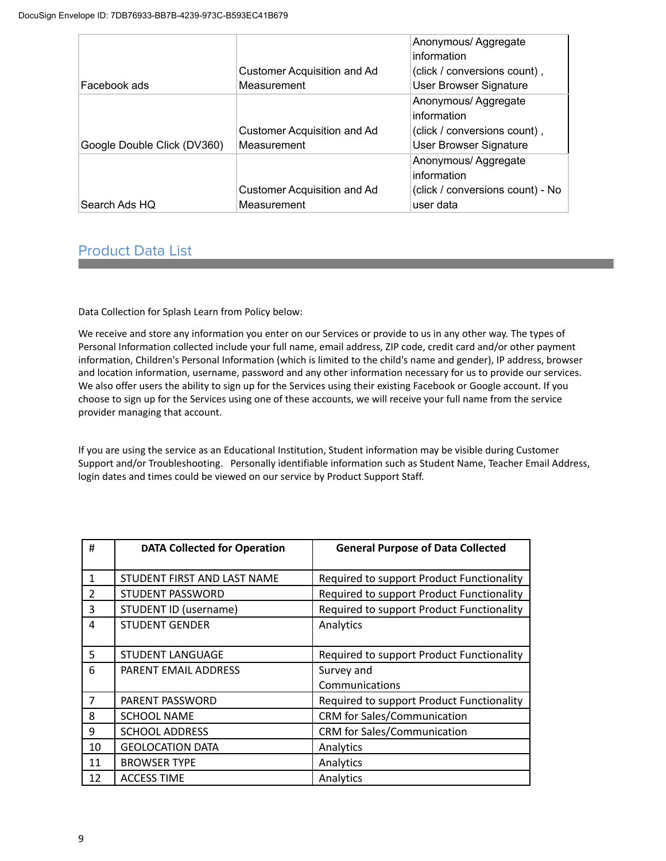|                             |                                    | Anonymous/Aggregate<br>information |
|-----------------------------|------------------------------------|------------------------------------|
|                             | <b>Customer Acquisition and Ad</b> | (click / conversions count),       |
| Facebook ads                | Measurement                        | <b>User Browser Signature</b>      |
|                             |                                    | Anonymous/Aggregate<br>information |
|                             | Customer Acquisition and Ad        | (click / conversions count),       |
| Google Double Click (DV360) | Measurement                        | <b>User Browser Signature</b>      |
|                             |                                    | Anonymous/Aggregate<br>information |
|                             | Customer Acquisition and Ad        | (click / conversions count) - No   |
| Search Ads HQ               | Measurement                        | user data                          |

# Product Data List

Data Collection for Splash Learn from Policy below:

We receive and store any information you enter on our Services or provide to us in any other way. The types of Personal Information collected include your full name, email address, ZIP code, credit card and/or other payment information, Children's Personal Information (which is limited to the child's name and gender), IP address, browser and location information, username, password and any other information necessary for us to provide our services. We also offer users the ability to sign up for the Services using their existing Facebook or Google account. If you choose to sign up for the Services using one of these accounts, we will receive your full name from the service provider managing that account.

If you are using the service as an Educational Institution, Student information may be visible during Customer Support and/or Troubleshooting. Personally identifiable information such as Student Name, Teacher Email Address, login dates and times could be viewed on our service by Product Support Staff.

| #  | <b>DATA Collected for Operation</b> | <b>General Purpose of Data Collected</b>  |
|----|-------------------------------------|-------------------------------------------|
| 1  | STUDENT FIRST AND LAST NAME         | Required to support Product Functionality |
| 2  | STUDENT PASSWORD                    | Required to support Product Functionality |
| 3  | STUDENT ID (username)               | Required to support Product Functionality |
| 4  | <b>STUDENT GENDER</b>               | Analytics                                 |
| 5  | <b>STUDENT LANGUAGE</b>             | Required to support Product Functionality |
| 6  | PARENT EMAIL ADDRESS                | Survey and                                |
|    |                                     | Communications                            |
| 7  | PARENT PASSWORD                     | Required to support Product Functionality |
| 8  | <b>SCHOOL NAME</b>                  | <b>CRM</b> for Sales/Communication        |
| 9  | <b>SCHOOL ADDRESS</b>               | <b>CRM</b> for Sales/Communication        |
| 10 | <b>GEOLOCATION DATA</b>             | Analytics                                 |
| 11 | <b>BROWSER TYPE</b>                 | Analytics                                 |
| 12 | <b>ACCESS TIME</b>                  | Analytics                                 |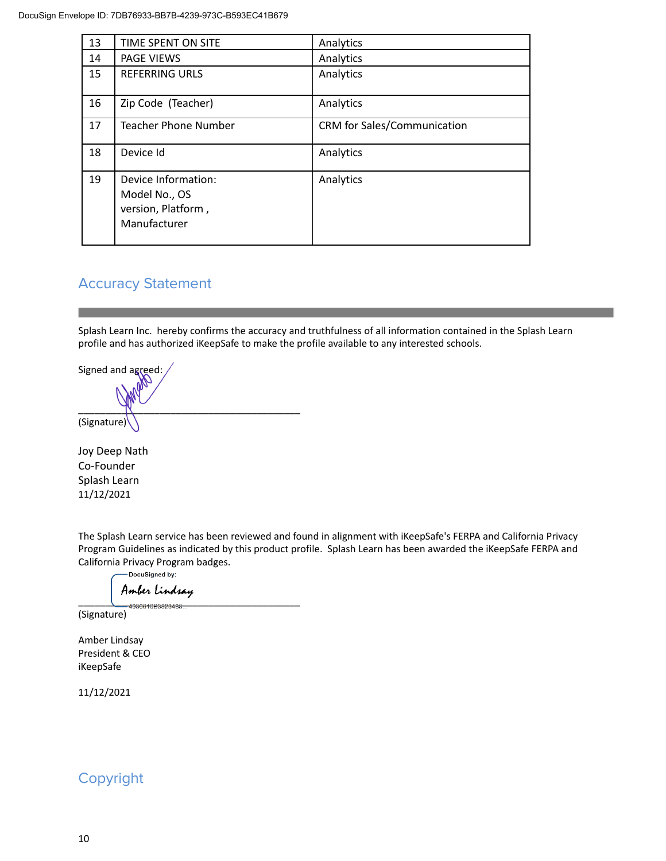| 13 | TIME SPENT ON SITE                                                         | Analytics                          |
|----|----------------------------------------------------------------------------|------------------------------------|
| 14 | <b>PAGE VIEWS</b>                                                          | Analytics                          |
| 15 | <b>REFERRING URLS</b>                                                      | Analytics                          |
| 16 | Zip Code (Teacher)                                                         | Analytics                          |
| 17 | Teacher Phone Number                                                       | <b>CRM</b> for Sales/Communication |
| 18 | Device Id                                                                  | Analytics                          |
| 19 | Device Information:<br>Model No., OS<br>version, Platform,<br>Manufacturer | Analytics                          |

## Accuracy Statement

Splash Learn Inc. hereby confirms the accuracy and truthfulness of all information contained in the Splash Learn profile and has authorized iKeepSafe to make the profile available to any interested schools.

Signed and agreed:  $\sim$ (Signature)

Joy Deep Nath Co-Founder Splash Learn 11/12/2021

The Splash Learn service has been reviewed and found in alignment with iKeepSafe's FERPA and California Privacy Program Guidelines as indicated by this product profile. Splash Learn has been awarded the iKeepSafe FERPA and California Privacy Program badges.<br>
— Docusigned by:

\_\_\_\_\_\_\_\_\_\_\_\_\_\_\_\_\_\_\_\_\_\_\_\_\_\_\_\_\_\_\_\_\_\_\_\_\_\_\_\_\_

(Signature)

Amber Lindsay President & CEO iKeepSafe

11/12/2021

# Copyright